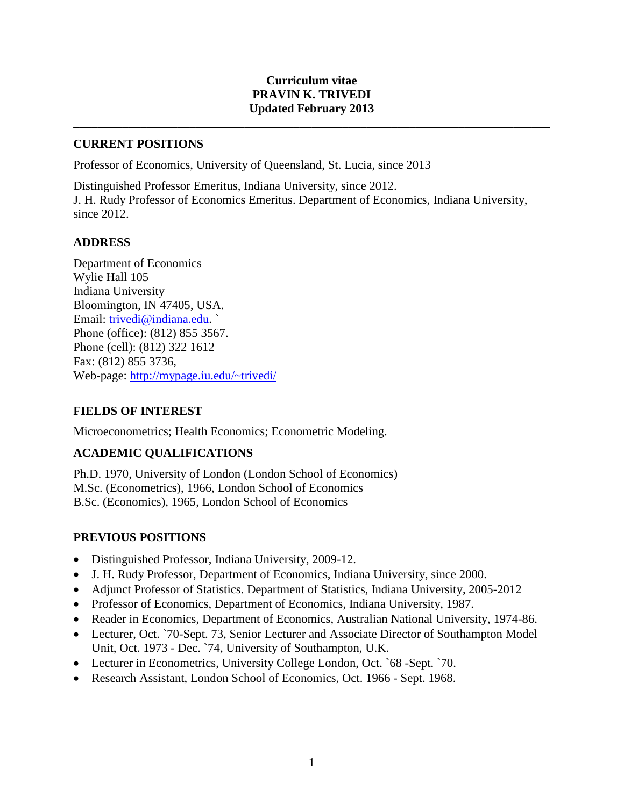### **Curriculum vitae PRAVIN K. TRIVEDI Updated February 2013**

**\_\_\_\_\_\_\_\_\_\_\_\_\_\_\_\_\_\_\_\_\_\_\_\_\_\_\_\_\_\_\_\_\_\_\_\_\_\_\_\_\_\_\_\_\_\_\_\_\_\_\_\_\_\_\_\_\_\_\_\_\_\_\_\_\_\_\_\_\_\_\_\_\_\_\_\_\_\_**

### **CURRENT POSITIONS**

Professor of Economics, University of Queensland, St. Lucia, since 2013

Distinguished Professor Emeritus, Indiana University, since 2012. J. H. Rudy Professor of Economics Emeritus. Department of Economics, Indiana University, since 2012.

#### **ADDRESS**

Department of Economics Wylie Hall 105 Indiana University Bloomington, IN 47405, USA. Email: trivedi@indiana.edu. ` Phone (office): (812) 855 3567. Phone (cell): (812) 322 1612 Fax: (812) 855 3736, Web-page: [http://mypage.iu.edu/~trivedi/](http://mypage.iu.edu/%7Etrivedi/)

## **FIELDS OF INTEREST**

Microeconometrics; Health Economics; Econometric Modeling.

## **ACADEMIC QUALIFICATIONS**

Ph.D. 1970, University of London (London School of Economics) M.Sc. (Econometrics), 1966, London School of Economics B.Sc. (Economics), 1965, London School of Economics

## **PREVIOUS POSITIONS**

- Distinguished Professor, Indiana University, 2009-12.
- J. H. Rudy Professor, Department of Economics, Indiana University, since 2000.
- Adjunct Professor of Statistics. Department of Statistics, Indiana University, 2005-2012
- Professor of Economics, Department of Economics, Indiana University, 1987.
- Reader in Economics, Department of Economics, Australian National University, 1974-86.
- Lecturer, Oct. `70-Sept. 73, Senior Lecturer and Associate Director of Southampton Model Unit, Oct. 1973 - Dec. `74, University of Southampton, U.K.
- Lecturer in Econometrics, University College London, Oct. `68 -Sept. `70.
- Research Assistant, London School of Economics, Oct. 1966 Sept. 1968.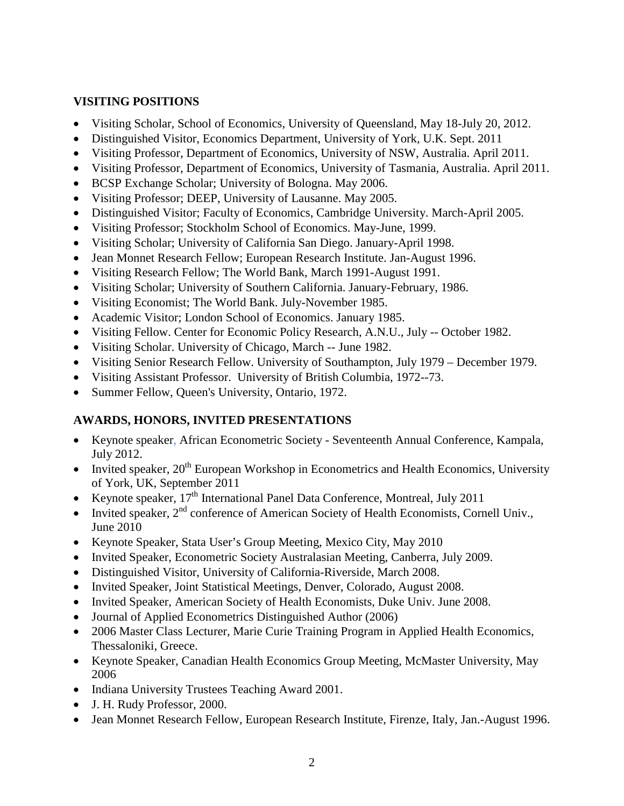## **VISITING POSITIONS**

- Visiting Scholar, School of Economics, University of Queensland, May 18-July 20, 2012.
- Distinguished Visitor, Economics Department, University of York, U.K. Sept. 2011
- Visiting Professor, Department of Economics, University of NSW, Australia. April 2011.
- Visiting Professor, Department of Economics, University of Tasmania, Australia. April 2011.
- BCSP Exchange Scholar; University of Bologna. May 2006.
- Visiting Professor; DEEP, University of Lausanne. May 2005.
- Distinguished Visitor; Faculty of Economics, Cambridge University. March-April 2005.
- Visiting Professor; Stockholm School of Economics. May-June, 1999.
- Visiting Scholar; University of California San Diego. January-April 1998.
- Jean Monnet Research Fellow; European Research Institute. Jan-August 1996.
- Visiting Research Fellow; The World Bank, March 1991-August 1991.
- Visiting Scholar; University of Southern California. January-February, 1986.
- Visiting Economist; The World Bank. July-November 1985.
- Academic Visitor; London School of Economics. January 1985.
- Visiting Fellow. Center for Economic Policy Research, A.N.U., July -- October 1982.
- Visiting Scholar. University of Chicago, March -- June 1982.
- Visiting Senior Research Fellow. University of Southampton, July 1979 December 1979.
- Visiting Assistant Professor. University of British Columbia, 1972--73.
- Summer Fellow, Queen's University, Ontario, 1972.

# **AWARDS, HONORS, INVITED PRESENTATIONS**

- Keynote speaker, African Econometric Society Seventeenth Annual Conference, Kampala, July 2012.
- Invited speaker,  $20^{th}$  European Workshop in Econometrics and Health Economics, University of York, UK, September 2011
- Keynote speaker,  $17<sup>th</sup>$  International Panel Data Conference, Montreal, July 2011
- Invited speaker,  $2<sup>nd</sup>$  conference of American Society of Health Economists, Cornell Univ., June 2010
- Keynote Speaker, Stata User's Group Meeting, Mexico City, May 2010
- Invited Speaker, Econometric Society Australasian Meeting, Canberra, July 2009.
- Distinguished Visitor, University of California-Riverside, March 2008.
- Invited Speaker, Joint Statistical Meetings, Denver, Colorado, August 2008.
- Invited Speaker, American Society of Health Economists, Duke Univ. June 2008.
- Journal of Applied Econometrics Distinguished Author (2006)
- 2006 Master Class Lecturer, Marie Curie Training Program in Applied Health Economics, Thessaloniki, Greece.
- Keynote Speaker, Canadian Health Economics Group Meeting, McMaster University, May 2006
- Indiana University Trustees Teaching Award 2001.
- J. H. Rudy Professor, 2000.
- Jean Monnet Research Fellow, European Research Institute, Firenze, Italy, Jan.-August 1996.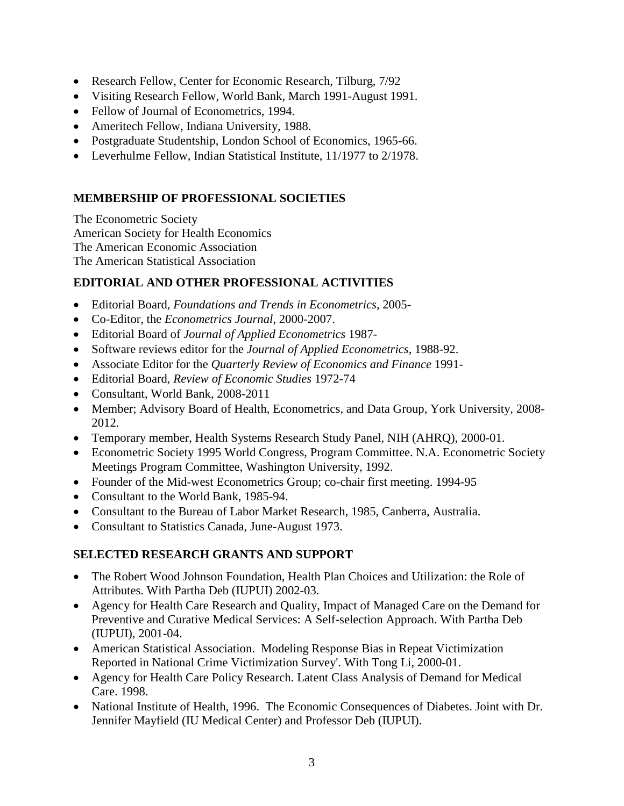- Research Fellow, Center for Economic Research, Tilburg, 7/92
- Visiting Research Fellow, World Bank, March 1991-August 1991.
- Fellow of Journal of Econometrics, 1994.
- Ameritech Fellow, Indiana University, 1988.
- Postgraduate Studentship, London School of Economics, 1965-66.
- Leverhulme Fellow, Indian Statistical Institute, 11/1977 to 2/1978.

## **MEMBERSHIP OF PROFESSIONAL SOCIETIES**

The Econometric Society American Society for Health Economics The American Economic Association The American Statistical Association

## **EDITORIAL AND OTHER PROFESSIONAL ACTIVITIES**

- Editorial Board, *Foundations and Trends in Econometrics*, 2005-
- Co-Editor, the *Econometrics Journal,* 2000-2007.
- Editorial Board of *Journal of Applied Econometrics* 1987-
- Software reviews editor for the *Journal of Applied Econometrics*, 1988-92.
- Associate Editor for the *Quarterly Review of Economics and Finance* 1991-
- Editorial Board, *Review of Economic Studies* 1972-74
- Consultant, World Bank, 2008-2011
- Member; Advisory Board of Health, Econometrics, and Data Group, York University, 2008-2012.
- Temporary member, Health Systems Research Study Panel, NIH (AHRQ), 2000-01.
- Econometric Society 1995 World Congress, Program Committee. N.A. Econometric Society Meetings Program Committee, Washington University, 1992.
- Founder of the Mid-west Econometrics Group; co-chair first meeting. 1994-95
- Consultant to the World Bank, 1985-94.
- Consultant to the Bureau of Labor Market Research, 1985, Canberra, Australia.
- Consultant to Statistics Canada, June-August 1973.

## **SELECTED RESEARCH GRANTS AND SUPPORT**

- The Robert Wood Johnson Foundation, Health Plan Choices and Utilization: the Role of Attributes. With Partha Deb (IUPUI) 2002-03.
- Agency for Health Care Research and Quality, Impact of Managed Care on the Demand for Preventive and Curative Medical Services: A Self-selection Approach. With Partha Deb (IUPUI), 2001-04.
- American Statistical Association. Modeling Response Bias in Repeat Victimization Reported in National Crime Victimization Survey'. With Tong Li, 2000-01.
- Agency for Health Care Policy Research. Latent Class Analysis of Demand for Medical Care. 1998.
- National Institute of Health, 1996. The Economic Consequences of Diabetes. Joint with Dr. Jennifer Mayfield (IU Medical Center) and Professor Deb (IUPUI).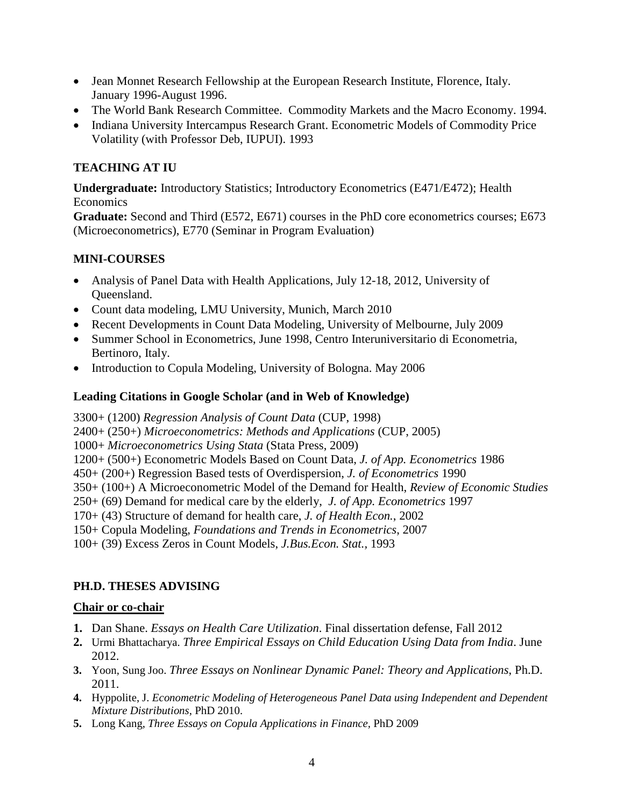- Jean Monnet Research Fellowship at the European Research Institute, Florence, Italy. January 1996-August 1996.
- The World Bank Research Committee. Commodity Markets and the Macro Economy. 1994.
- Indiana University Intercampus Research Grant. Econometric Models of Commodity Price Volatility (with Professor Deb, IUPUI). 1993

# **TEACHING AT IU**

**Undergraduate:** Introductory Statistics; Introductory Econometrics (E471/E472); Health **Economics** 

**Graduate:** Second and Third (E572, E671) courses in the PhD core econometrics courses; E673 (Microeconometrics), E770 (Seminar in Program Evaluation)

## **MINI-COURSES**

- Analysis of Panel Data with Health Applications, July 12-18, 2012, University of Queensland.
- Count data modeling, LMU University, Munich, March 2010
- Recent Developments in Count Data Modeling, University of Melbourne, July 2009
- Summer School in Econometrics, June 1998, Centro Interuniversitario di Econometria, Bertinoro, Italy.
- Introduction to Copula Modeling, University of Bologna. May 2006

## **Leading Citations in Google Scholar (and in Web of Knowledge)**

3300+ (1200) *Regression Analysis of Count Data* (CUP, 1998) 2400+ (250+) *Microeconometrics: Methods and Applications* (CUP, 2005) 1000+ *Microeconometrics Using Stata* (Stata Press, 2009) 1200+ (500+) Econometric Models Based on Count Data, *J. of App. Econometrics* 1986 450+ (200+) Regression Based tests of Overdispersion, *J. of Econometrics* 1990 350+ (100+) A Microeconometric Model of the Demand for Health, *Review of Economic Studies* 250+ (69) Demand for medical care by the elderly, *J. of App. Econometrics* 1997 170+ (43) Structure of demand for health care, *J. of Health Econ.*, 2002 150+ Copula Modeling, *Foundations and Trends in Econometrics*, 2007 100+ (39) Excess Zeros in Count Models, *J.Bus.Econ. Stat.,* 1993

## **PH.D. THESES ADVISING**

## **Chair or co-chair**

- **1.** Dan Shane. *Essays on Health Care Utilization*. Final dissertation defense, Fall 2012
- **2.** Urmi Bhattacharya. *Three Empirical Essays on Child Education Using Data from India*. June 2012.
- **3.** Yoon, Sung Joo. *Three Essays on Nonlinear Dynamic Panel: Theory and Applications*, Ph.D. 2011.
- **4.** Hyppolite, J. *Econometric Modeling of Heterogeneous Panel Data using Independent and Dependent Mixture Distributions*, PhD 2010.
- **5.** Long Kang, *Three Essays on Copula Applications in Finance,* PhD 2009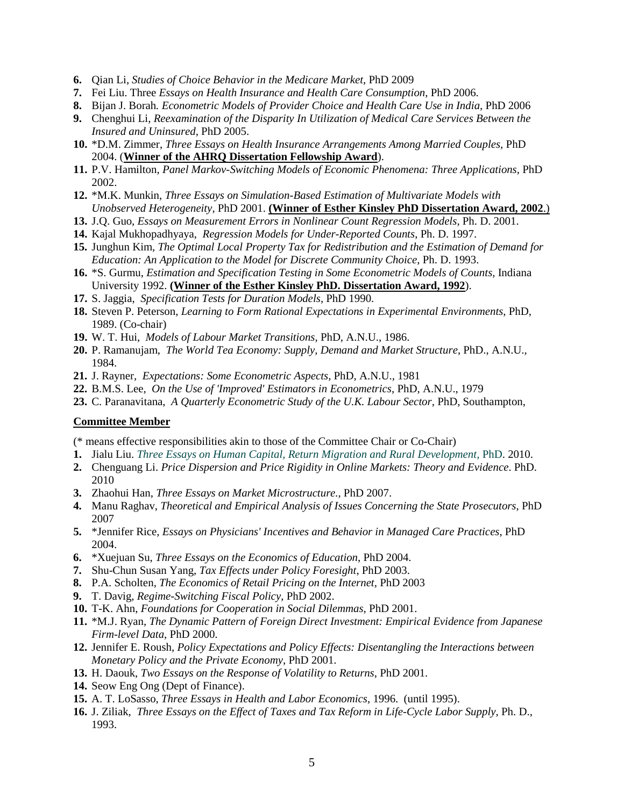- **6.** Qian Li, *Studies of Choice Behavior in the Medicare Market*, PhD 2009
- **7.** Fei Liu. Three *Essays on Health Insurance and Health Care Consumption*, PhD 2006.
- **8.** Bijan J. Borah*. Econometric Models of Provider Choice and Health Care Use in India*, PhD 2006
- **9.** Chenghui Li, *Reexamination of the Disparity In Utilization of Medical Care Services Between the Insured and Uninsured*, PhD 2005.
- **10.** \*D.M. Zimmer, *Three Essays on Health Insurance Arrangements Among Married Couples*, PhD 2004. (**Winner of the AHRQ Dissertation Fellowship Award**).
- **11.** P.V. Hamilton, *Panel Markov-Switching Models of Economic Phenomena: Three Applications*, PhD 2002.
- **12.** \*M.K. Munkin, *Three Essays on Simulation-Based Estimation of Multivariate Models with Unobserved Heterogeneity*, PhD 2001. **(Winner of Esther Kinsley PhD Dissertation Award, 2002**.)
- **13.** J.Q. Guo, *Essays on Measurement Errors in Nonlinear Count Regression Models*, Ph. D. 2001.
- **14.** Kajal Mukhopadhyaya, *Regression Models for Under-Reported Counts*, Ph. D. 1997.
- **15.** Junghun Kim, *The Optimal Local Property Tax for Redistribution and the Estimation of Demand for Education: An Application to the Model for Discrete Community Choice*, Ph. D. 1993.
- **16.** \*S. Gurmu, *Estimation and Specification Testing in Some Econometric Models of Counts*, Indiana University 1992. **(Winner of the Esther Kinsley PhD. Dissertation Award, 1992**).
- **17.** S. Jaggia, *Specification Tests for Duration Models*, PhD 1990.
- **18.** Steven P. Peterson, *Learning to Form Rational Expectations in Experimental Environments*, PhD, 1989. (Co-chair)
- **19.** W. T. Hui, *Models of Labour Market Transitions*, PhD, A.N.U., 1986.
- **20.** P. Ramanujam, *The World Tea Economy: Supply, Demand and Market Structure*, PhD., A.N.U., 1984.
- **21.** J. Rayner, *Expectations: Some Econometric Aspects*, PhD, A.N.U., 1981
- **22.** B.M.S. Lee, *On the Use of 'Improved' Estimators in Econometrics*, PhD, A.N.U., 1979
- **23.** C. Paranavitana, *A Quarterly Econometric Study of the U.K. Labour Sector*, PhD, Southampton,

#### **Committee Member**

(\* means effective responsibilities akin to those of the Committee Chair or Co-Chair)

- **1.** Jialu Liu. *Three Essays on Human Capital, Return Migration and Rural Development,* PhD. 2010.
- **2.** Chenguang Li. *Price Dispersion and Price Rigidity in Online Markets: Theory and Evidence*. PhD. 2010
- **3.** Zhaohui Han, *Three Essays on Market Microstructure.,* PhD 2007.
- **4.** Manu Raghav, *Theoretical and Empirical Analysis of Issues Concerning the State Prosecutors*, PhD 2007
- **5.** \*Jennifer Rice, *Essays on Physicians' Incentives and Behavior in Managed Care Practices*, PhD 2004.
- **6.** \*Xuejuan Su, *Three Essays on the Economics of Education*, PhD 2004.
- **7.** Shu-Chun Susan Yang, *Tax Effects under Policy Foresight*, PhD 2003.
- **8.** P.A. Scholten, *The Economics of Retail Pricing on the Internet*, PhD 2003
- **9.** T. Davig, *Regime-Switching Fiscal Policy*, PhD 2002.
- **10.** T-K. Ahn, *Foundations for Cooperation in Social Dilemmas*, PhD 2001.
- **11.** \*M.J. Ryan, *The Dynamic Pattern of Foreign Direct Investment: Empirical Evidence from Japanese Firm-level Data*, PhD 2000.
- **12.** Jennifer E. Roush, *Policy Expectations and Policy Effects: Disentangling the Interactions between Monetary Policy and the Private Economy*, PhD 2001.
- **13.** H. Daouk, *Two Essays on the Response of Volatility to Returns*, PhD 2001.
- **14.** Seow Eng Ong (Dept of Finance).
- **15.** A. T. LoSasso, *Three Essays in Health and Labor Economics*, 1996. (until 1995).
- **16.** J. Ziliak, *Three Essays on the Effect of Taxes and Tax Reform in Life-Cycle Labor Supply*, Ph. D., 1993.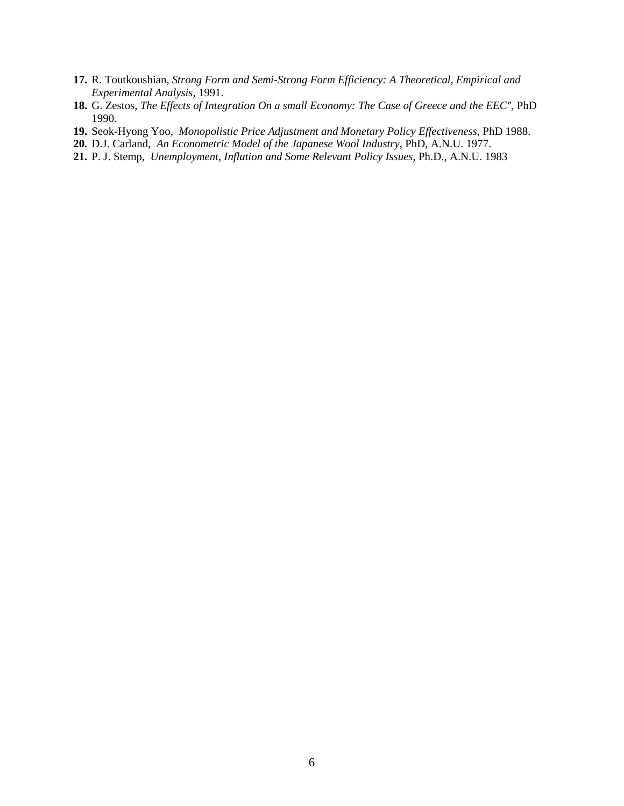- **17.** R. Toutkoushian, *Strong Form and Semi-Strong Form Efficiency: A Theoretical, Empirical and Experimental Analysis,* 1991.
- **18.** G. Zestos*, The Effects of Integration On a small Economy: The Case of Greece and the EEC'*', PhD 1990.
- **19.** Seok-Hyong Yoo, *Monopolistic Price Adjustment and Monetary Policy Effectiveness*, PhD 1988.
- **20.** D.J. Carland, *An Econometric Model of the Japanese Wool Industry*, PhD, A.N.U. 1977.
- **21.** P. J. Stemp, *Unemployment, Inflation and Some Relevant Policy Issues*, Ph.D., A.N.U. 1983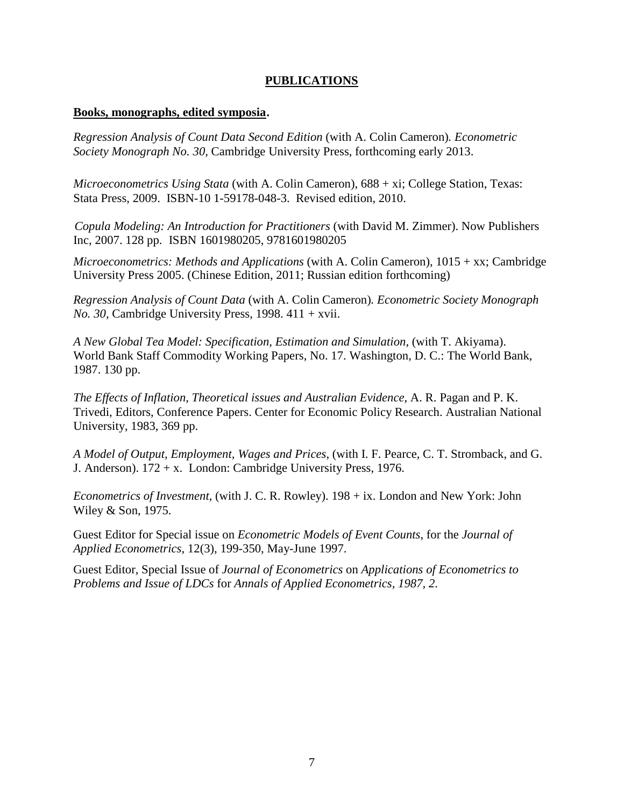## **PUBLICATIONS**

#### **Books, monographs, edited symposia**.

*Regression Analysis of Count Data Second Edition* (with A. Colin Cameron)*. Econometric Society Monograph No. 30,* Cambridge University Press, forthcoming early 2013.

*Microeconometrics Using Stata* (with A. Colin Cameron), 688 + xi; College Station, Texas: Stata Press, 2009. ISBN-10 1-59178-048-3. Revised edition, 2010.

 *Copula Modeling: An Introduction for Practitioners* (with David M. Zimmer). Now Publishers Inc, 2007. 128 pp. ISBN 1601980205, 9781601980205

*Microeconometrics: Methods and Applications* (with A. Colin Cameron), 1015 + xx; Cambridge University Press 2005. (Chinese Edition, 2011; Russian edition forthcoming)

*Regression Analysis of Count Data* (with A. Colin Cameron)*. Econometric Society Monograph No. 30,* Cambridge University Press, 1998. 411 + xvii.

*A New Global Tea Model: Specification, Estimation and Simulation*, (with T. Akiyama). World Bank Staff Commodity Working Papers, No. 17. Washington, D. C.: The World Bank, 1987. 130 pp.

*The Effects of Inflation, Theoretical issues and Australian Evidence*, A. R. Pagan and P. K. Trivedi, Editors, Conference Papers. Center for Economic Policy Research. Australian National University, 1983, 369 pp.

*A Model of Output, Employment, Wages and Prices*, (with I. F. Pearce, C. T. Stromback, and G. J. Anderson). 172 + x. London: Cambridge University Press, 1976.

*Econometrics of Investment*, (with J. C. R. Rowley). 198 + ix. London and New York: John Wiley & Son, 1975.

Guest Editor for Special issue on *Econometric Models of Event Counts*, for the *Journal of Applied Econometrics,* 12(3), 199-350, May-June 1997.

Guest Editor, Special Issue of *Journal of Econometrics* on *Applications of Econometrics to Problems and Issue of LDCs* for *Annals of Applied Econometrics, 1987, 2*.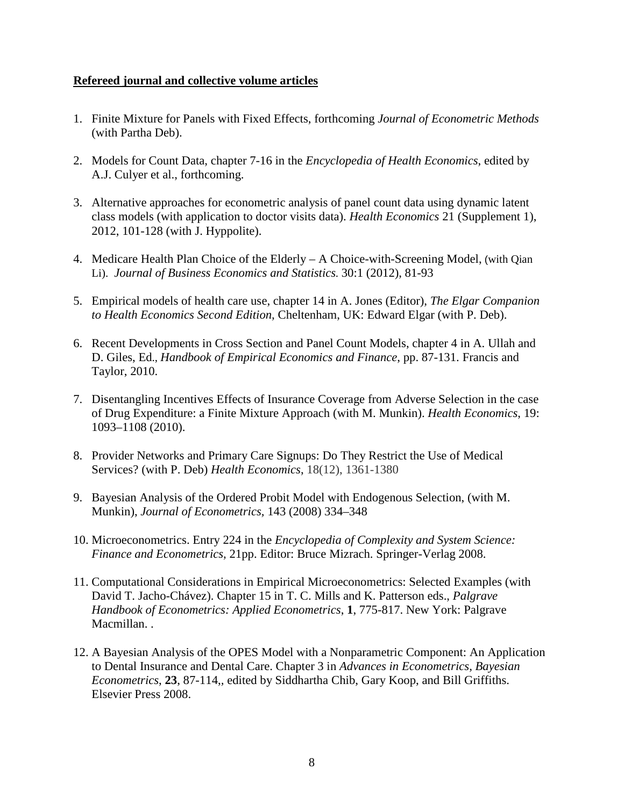### **Refereed journal and collective volume articles**

- 1. Finite Mixture for Panels with Fixed Effects, forthcoming *Journal of Econometric Methods* (with Partha Deb).
- 2. Models for Count Data, chapter 7-16 in the *Encyclopedia of Health Economics*, edited by A.J. Culyer et al., forthcoming.
- 3. Alternative approaches for econometric analysis of panel count data using dynamic latent class models (with application to doctor visits data). *Health Economics* 21 (Supplement 1), 2012, 101-128 (with J. Hyppolite).
- 4. Medicare Health Plan Choice of the Elderly A Choice-with-Screening Model, (with Qian Li). *Journal of Business Economics and Statistics.* 30:1 (2012), 81-93
- 5. Empirical models of health care use, chapter 14 in A. Jones (Editor), *The Elgar Companion to Health Economics Second Edition,* Cheltenham, UK: Edward Elgar (with P. Deb).
- 6. Recent Developments in Cross Section and Panel Count Models, chapter 4 in A. Ullah and D. Giles, Ed., *Handbook of Empirical Economics and Finance*, pp. 87-131. Francis and Taylor, 2010.
- 7. Disentangling Incentives Effects of Insurance Coverage from Adverse Selection in the case of Drug Expenditure: a Finite Mixture Approach (with M. Munkin). *Health Economics*, 19: 1093–1108 (2010).
- 8. Provider Networks and Primary Care Signups: Do They Restrict the Use of Medical Services? (with P. Deb) *Health Economics*, 18(12), 1361-1380
- 9. Bayesian Analysis of the Ordered Probit Model with Endogenous Selection, (with M. Munkin), *Journal of Econometrics,* 143 (2008) 334–348
- 10. Microeconometrics. Entry 224 in the *Encyclopedia of Complexity and System Science: Finance and Econometrics,* 21pp. Editor: Bruce Mizrach. Springer-Verlag 2008.
- 11. Computational Considerations in Empirical Microeconometrics: Selected Examples (with David T. Jacho-Chávez). Chapter 15 in T. C. Mills and K. Patterson eds., *Palgrave Handbook of Econometrics: Applied Econometrics*, **1**, 775-817. New York: Palgrave Macmillan..
- 12. A Bayesian Analysis of the OPES Model with a Nonparametric Component: An Application to Dental Insurance and Dental Care. Chapter 3 in *Advances in Econometrics, Bayesian Econometrics*, **23**, 87-114,*,* edited by Siddhartha Chib, Gary Koop, and Bill Griffiths. Elsevier Press 2008.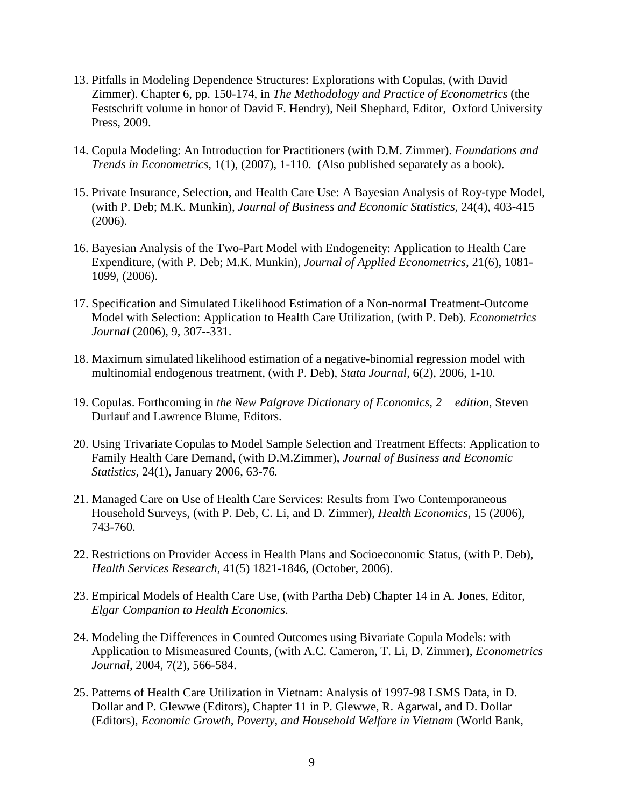- 13. Pitfalls in Modeling Dependence Structures: Explorations with Copulas, (with David Zimmer). Chapter 6, pp. 150-174, in *The Methodology and Practice of Econometrics* (the Festschrift volume in honor of David F. Hendry), Neil Shephard, Editor, Oxford University Press, 2009.
- 14. Copula Modeling: An Introduction for Practitioners (with D.M. Zimmer). *Foundations and Trends in Econometrics*, 1(1), (2007), 1-110. (Also published separately as a book).
- 15. Private Insurance, Selection, and Health Care Use: A Bayesian Analysis of Roy-type Model, (with P. Deb; M.K. Munkin), *Journal of Business and Economic Statistics,* 24(4), 403-415 (2006).
- 16. Bayesian Analysis of the Two-Part Model with Endogeneity: Application to Health Care Expenditure, (with P. Deb; M.K. Munkin), *Journal of Applied Econometrics*, 21(6), 1081- 1099, (2006).
- 17. Specification and Simulated Likelihood Estimation of a Non-normal Treatment-Outcome Model with Selection: Application to Health Care Utilization, (with P. Deb). *Econometrics Journal* (2006), 9, 307--331.
- 18. Maximum simulated likelihood estimation of a negative-binomial regression model with multinomial endogenous treatment, (with P. Deb), *Stata Journal*, 6(2), 2006, 1-10.
- 19. Copulas. Forthcoming in *the New Palgrave Dictionary of Economics, 2 edition*, Steven Durlauf and Lawrence Blume, Editors.
- 20. Using Trivariate Copulas to Model Sample Selection and Treatment Effects: Application to Family Health Care Demand, (with D.M.Zimmer), *Journal of Business and Economic Statistics,* 24(1), January 2006, 63-76*.*
- 21. Managed Care on Use of Health Care Services: Results from Two Contemporaneous Household Surveys, (with P. Deb, C. Li, and D. Zimmer), *Health Economics*, 15 (2006), 743-760.
- 22. Restrictions on Provider Access in Health Plans and Socioeconomic Status, (with P. Deb), *Health Services Research*, 41(5) 1821-1846, (October, 2006).
- 23. Empirical Models of Health Care Use, (with Partha Deb) Chapter 14 in A. Jones, Editor, *Elgar Companion to Health Economics*.
- 24. Modeling the Differences in Counted Outcomes using Bivariate Copula Models: with Application to Mismeasured Counts, (with A.C. Cameron, T. Li, D. Zimmer), *Econometrics Journal*, 2004, 7(2), 566-584.
- 25. Patterns of Health Care Utilization in Vietnam: Analysis of 1997-98 LSMS Data, in D. Dollar and P. Glewwe (Editors), Chapter 11 in P. Glewwe, R. Agarwal, and D. Dollar (Editors), *Economic Growth, Poverty, and Household Welfare in Vietnam* (World Bank,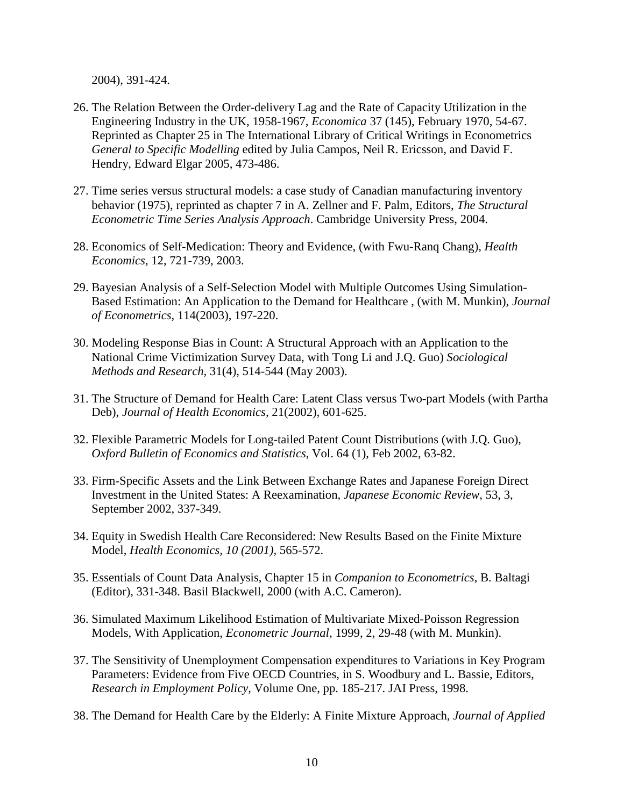2004), 391-424.

- 26. The Relation Between the Order-delivery Lag and the Rate of Capacity Utilization in the Engineering Industry in the UK, 1958-1967, *Economica* 37 (145), February 1970, 54-67. Reprinted as Chapter 25 in The International Library of Critical Writings in Econometrics *General to Specific Modelling* edited by Julia Campos, Neil R. Ericsson, and David F. Hendry, Edward Elgar 2005, 473-486.
- 27. Time series versus structural models: a case study of Canadian manufacturing inventory behavior (1975), reprinted as chapter 7 in A. Zellner and F. Palm, Editors, *The Structural Econometric Time Series Analysis Approach*. Cambridge University Press, 2004.
- 28. Economics of Self-Medication: Theory and Evidence, (with Fwu-Ranq Chang), *Health Economics,* 12, 721-739, 2003.
- 29. Bayesian Analysis of a Self-Selection Model with Multiple Outcomes Using Simulation-Based Estimation: An Application to the Demand for Healthcare , (with M. Munkin), *Journal of Econometrics,* 114(2003), 197-220.
- 30. Modeling Response Bias in Count: A Structural Approach with an Application to the National Crime Victimization Survey Data, with Tong Li and J.Q. Guo) *Sociological Methods and Research*, 31(4), 514-544 (May 2003).
- 31. The Structure of Demand for Health Care: Latent Class versus Two-part Models (with Partha Deb), *Journal of Health Economics,* 21(2002), 601-625.
- 32. Flexible Parametric Models for Long-tailed Patent Count Distributions (with J.Q. Guo), *Oxford Bulletin of Economics and Statistics*, Vol. 64 (1), Feb 2002, 63-82.
- 33. Firm-Specific Assets and the Link Between Exchange Rates and Japanese Foreign Direct Investment in the United States: A Reexamination, *Japanese Economic Review*, 53, 3, September 2002, 337-349.
- 34. Equity in Swedish Health Care Reconsidered: New Results Based on the Finite Mixture Model, *Health Economics, 10 (2001),* 565-572.
- 35. Essentials of Count Data Analysis, Chapter 15 in *Companion to Econometrics*, B. Baltagi (Editor), 331-348. Basil Blackwell, 2000 (with A.C. Cameron).
- 36. Simulated Maximum Likelihood Estimation of Multivariate Mixed-Poisson Regression Models, With Application, *Econometric Journal*, 1999, 2, 29-48 (with M. Munkin).
- 37. The Sensitivity of Unemployment Compensation expenditures to Variations in Key Program Parameters: Evidence from Five OECD Countries, in S. Woodbury and L. Bassie, Editors, *Research in Employment Policy*, Volume One, pp. 185-217. JAI Press, 1998.
- 38. The Demand for Health Care by the Elderly: A Finite Mixture Approach, *Journal of Applied*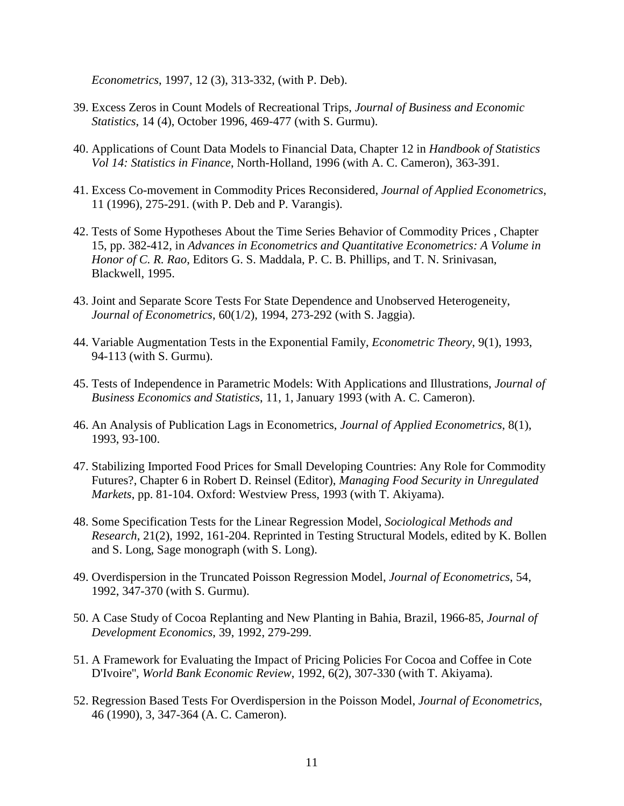*Econometrics*, 1997, 12 (3), 313-332, (with P. Deb).

- 39. Excess Zeros in Count Models of Recreational Trips, *Journal of Business and Economic Statistics*, 14 (4), October 1996, 469-477 (with S. Gurmu).
- 40. Applications of Count Data Models to Financial Data, Chapter 12 in *Handbook of Statistics Vol 14: Statistics in Finance*, North-Holland, 1996 (with A. C. Cameron), 363-391.
- 41. Excess Co-movement in Commodity Prices Reconsidered, *Journal of Applied Econometrics*, 11 (1996), 275-291. (with P. Deb and P. Varangis).
- 42. Tests of Some Hypotheses About the Time Series Behavior of Commodity Prices , Chapter 15, pp. 382-412, in *Advances in Econometrics and Quantitative Econometrics: A Volume in Honor of C. R. Rao*, Editors G. S. Maddala, P. C. B. Phillips, and T. N. Srinivasan, Blackwell, 1995.
- 43. Joint and Separate Score Tests For State Dependence and Unobserved Heterogeneity, *Journal of Econometrics*, 60(1/2), 1994, 273-292 (with S. Jaggia).
- 44. Variable Augmentation Tests in the Exponential Family, *Econometric Theory*, 9(1), 1993, 94-113 (with S. Gurmu).
- 45. Tests of Independence in Parametric Models: With Applications and Illustrations, *Journal of Business Economics and Statistics*, 11, 1, January 1993 (with A. C. Cameron).
- 46. An Analysis of Publication Lags in Econometrics, *Journal of Applied Econometrics*, 8(1), 1993, 93-100.
- 47. Stabilizing Imported Food Prices for Small Developing Countries: Any Role for Commodity Futures?, Chapter 6 in Robert D. Reinsel (Editor), *Managing Food Security in Unregulated Markets*, pp. 81-104. Oxford: Westview Press, 1993 (with T. Akiyama).
- 48. Some Specification Tests for the Linear Regression Model, *Sociological Methods and Research*, 21(2), 1992, 161-204. Reprinted in Testing Structural Models, edited by K. Bollen and S. Long, Sage monograph (with S. Long).
- 49. Overdispersion in the Truncated Poisson Regression Model, *Journal of Econometrics*, 54, 1992, 347-370 (with S. Gurmu).
- 50. A Case Study of Cocoa Replanting and New Planting in Bahia, Brazil, 1966-85, *Journal of Development Economics*, 39, 1992, 279-299.
- 51. A Framework for Evaluating the Impact of Pricing Policies For Cocoa and Coffee in Cote D'Ivoire'', *World Bank Economic Review*, 1992, 6(2), 307-330 (with T. Akiyama).
- 52. Regression Based Tests For Overdispersion in the Poisson Model, *Journal of Econometrics*, 46 (1990), 3, 347-364 (A. C. Cameron).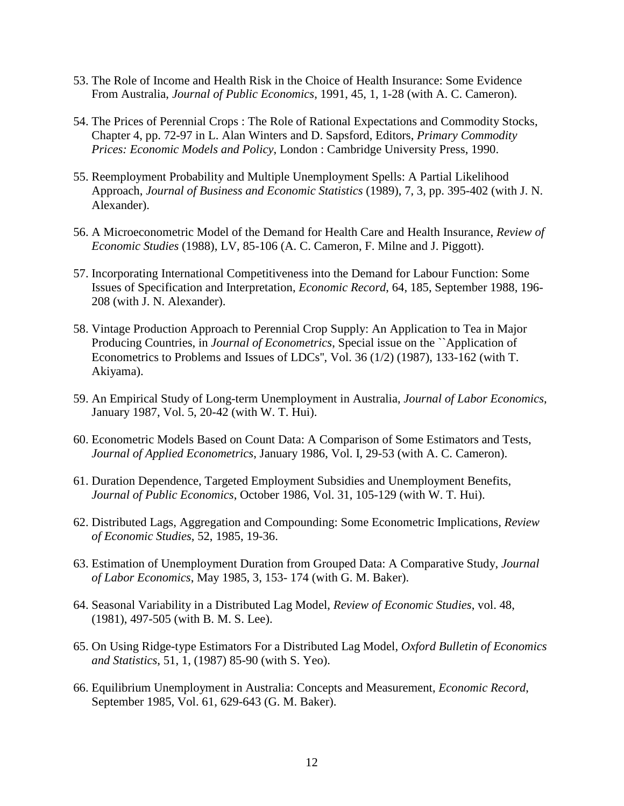- 53. The Role of Income and Health Risk in the Choice of Health Insurance: Some Evidence From Australia, *Journal of Public Economics*, 1991, 45, 1, 1-28 (with A. C. Cameron).
- 54. The Prices of Perennial Crops : The Role of Rational Expectations and Commodity Stocks, Chapter 4, pp. 72-97 in L. Alan Winters and D. Sapsford, Editors, *Primary Commodity Prices: Economic Models and Policy*, London : Cambridge University Press, 1990.
- 55. Reemployment Probability and Multiple Unemployment Spells: A Partial Likelihood Approach, *Journal of Business and Economic Statistics* (1989), 7, 3, pp. 395-402 (with J. N. Alexander).
- 56. A Microeconometric Model of the Demand for Health Care and Health Insurance, *Review of Economic Studies* (1988), LV, 85-106 (A. C. Cameron, F. Milne and J. Piggott).
- 57. Incorporating International Competitiveness into the Demand for Labour Function: Some Issues of Specification and Interpretation, *Economic Record*, 64, 185, September 1988, 196- 208 (with J. N. Alexander).
- 58. Vintage Production Approach to Perennial Crop Supply: An Application to Tea in Major Producing Countries, in *Journal of Econometrics*, Special issue on the ``Application of Econometrics to Problems and Issues of LDCs'', Vol. 36 (1/2) (1987), 133-162 (with T. Akiyama).
- 59. An Empirical Study of Long-term Unemployment in Australia, *Journal of Labor Economics*, January 1987, Vol. 5, 20-42 (with W. T. Hui).
- 60. Econometric Models Based on Count Data: A Comparison of Some Estimators and Tests, *Journal of Applied Econometrics*, January 1986, Vol. I, 29-53 (with A. C. Cameron).
- 61. Duration Dependence, Targeted Employment Subsidies and Unemployment Benefits, *Journal of Public Economics*, October 1986, Vol. 31, 105-129 (with W. T. Hui).
- 62. Distributed Lags, Aggregation and Compounding: Some Econometric Implications, *Review of Economic Studies*, 52, 1985, 19-36.
- 63. Estimation of Unemployment Duration from Grouped Data: A Comparative Study, *Journal of Labor Economics*, May 1985, 3, 153- 174 (with G. M. Baker).
- 64. Seasonal Variability in a Distributed Lag Model, *Review of Economic Studies*, vol. 48, (1981), 497-505 (with B. M. S. Lee).
- 65. On Using Ridge-type Estimators For a Distributed Lag Model, *Oxford Bulletin of Economics and Statistics*, 51, 1, (1987) 85-90 (with S. Yeo).
- 66. Equilibrium Unemployment in Australia: Concepts and Measurement, *Economic Record*, September 1985, Vol. 61, 629-643 (G. M. Baker).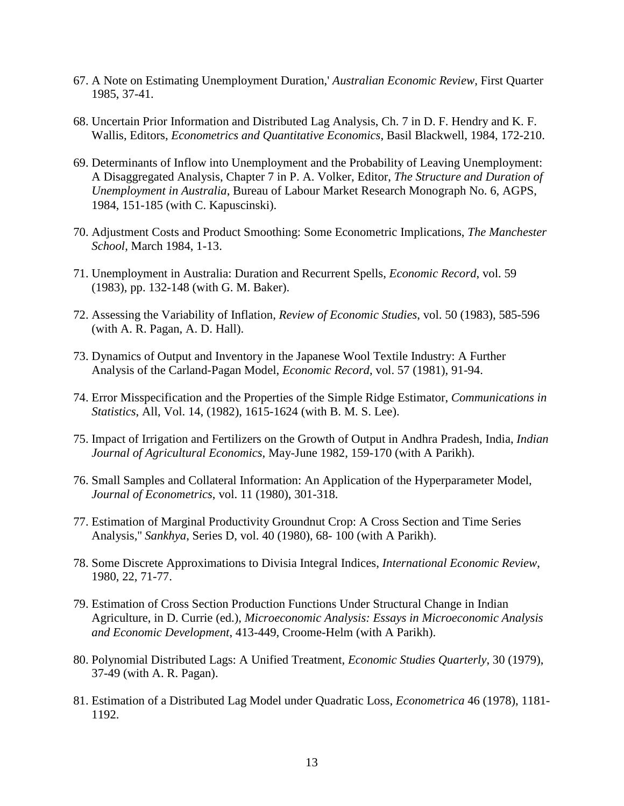- 67. A Note on Estimating Unemployment Duration,' *Australian Economic Review*, First Quarter 1985, 37-41.
- 68. Uncertain Prior Information and Distributed Lag Analysis, Ch. 7 in D. F. Hendry and K. F. Wallis, Editors, *Econometrics and Quantitative Economics*, Basil Blackwell, 1984, 172-210.
- 69. Determinants of Inflow into Unemployment and the Probability of Leaving Unemployment: A Disaggregated Analysis, Chapter 7 in P. A. Volker, Editor, *The Structure and Duration of Unemployment in Australia*, Bureau of Labour Market Research Monograph No. 6, AGPS, 1984, 151-185 (with C. Kapuscinski).
- 70. Adjustment Costs and Product Smoothing: Some Econometric Implications, *The Manchester School*, March 1984, 1-13.
- 71. Unemployment in Australia: Duration and Recurrent Spells, *Economic Record*, vol. 59 (1983), pp. 132-148 (with G. M. Baker).
- 72. Assessing the Variability of Inflation, *Review of Economic Studies*, vol. 50 (1983), 585-596 (with A. R. Pagan, A. D. Hall).
- 73. Dynamics of Output and Inventory in the Japanese Wool Textile Industry: A Further Analysis of the Carland-Pagan Model, *Economic Record*, vol. 57 (1981), 91-94.
- 74. Error Misspecification and the Properties of the Simple Ridge Estimator, *Communications in Statistics*, All, Vol. 14, (1982), 1615-1624 (with B. M. S. Lee).
- 75. Impact of Irrigation and Fertilizers on the Growth of Output in Andhra Pradesh, India, *Indian Journal of Agricultural Economics*, May-June 1982, 159-170 (with A Parikh).
- 76. Small Samples and Collateral Information: An Application of the Hyperparameter Model, *Journal of Econometrics*, vol. 11 (1980), 301-318.
- 77. Estimation of Marginal Productivity Groundnut Crop: A Cross Section and Time Series Analysis,'' *Sankhya*, Series D, vol. 40 (1980), 68- 100 (with A Parikh).
- 78. Some Discrete Approximations to Divisia Integral Indices, *International Economic Review*, 1980, 22, 71-77.
- 79. Estimation of Cross Section Production Functions Under Structural Change in Indian Agriculture, in D. Currie (ed.), *Microeconomic Analysis: Essays in Microeconomic Analysis and Economic Development*, 413-449, Croome-Helm (with A Parikh).
- 80. Polynomial Distributed Lags: A Unified Treatment, *Economic Studies Quarterly*, 30 (1979), 37-49 (with A. R. Pagan).
- 81. Estimation of a Distributed Lag Model under Quadratic Loss, *Econometrica* 46 (1978), 1181- 1192.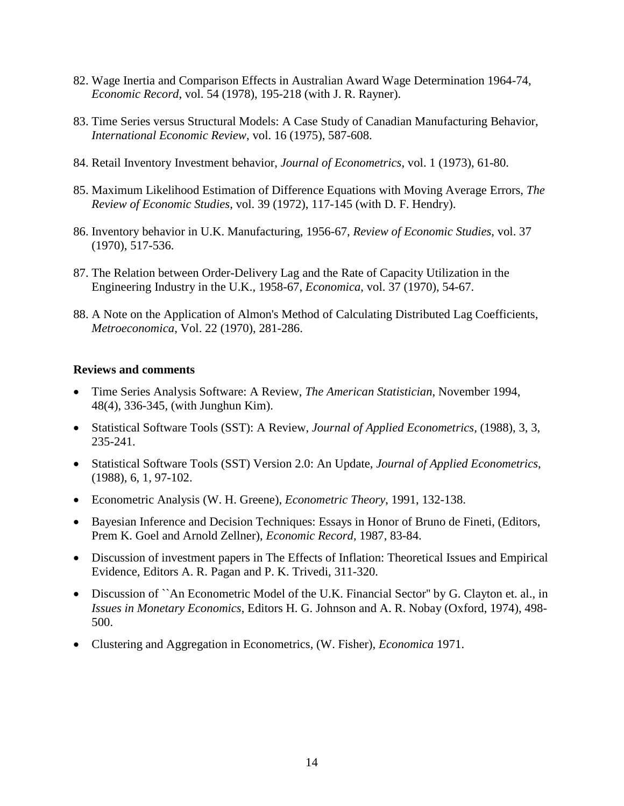- 82. Wage Inertia and Comparison Effects in Australian Award Wage Determination 1964-74, *Economic Record*, vol. 54 (1978), 195-218 (with J. R. Rayner).
- 83. Time Series versus Structural Models: A Case Study of Canadian Manufacturing Behavior, *International Economic Review*, vol. 16 (1975), 587-608.
- 84. Retail Inventory Investment behavior, *Journal of Econometrics*, vol. 1 (1973), 61-80.
- 85. Maximum Likelihood Estimation of Difference Equations with Moving Average Errors, *The Review of Economic Studies*, vol. 39 (1972), 117-145 (with D. F. Hendry).
- 86. Inventory behavior in U.K. Manufacturing, 1956-67, *Review of Economic Studies*, vol. 37 (1970), 517-536.
- 87. The Relation between Order-Delivery Lag and the Rate of Capacity Utilization in the Engineering Industry in the U.K., 1958-67, *Economica*, vol. 37 (1970), 54-67.
- 88. A Note on the Application of Almon's Method of Calculating Distributed Lag Coefficients, *Metroeconomica*, Vol. 22 (1970), 281-286.

#### **Reviews and comments**

- Time Series Analysis Software: A Review, *The American Statistician*, November 1994, 48(4), 336-345, (with Junghun Kim).
- Statistical Software Tools (SST): A Review, *Journal of Applied Econometrics,* (1988), 3, 3, 235-241.
- Statistical Software Tools (SST) Version 2.0: An Update, *Journal of Applied Econometrics*, (1988), 6, 1, 97-102.
- Econometric Analysis (W. H. Greene), *Econometric Theory*, 1991, 132-138.
- Bayesian Inference and Decision Techniques: Essays in Honor of Bruno de Fineti, (Editors, Prem K. Goel and Arnold Zellner), *Economic Record*, 1987, 83-84.
- Discussion of investment papers in The Effects of Inflation: Theoretical Issues and Empirical Evidence, Editors A. R. Pagan and P. K. Trivedi, 311-320.
- Discussion of ``An Econometric Model of the U.K. Financial Sector" by G. Clayton et. al., in *Issues in Monetary Economics*, Editors H. G. Johnson and A. R. Nobay (Oxford, 1974), 498- 500.
- Clustering and Aggregation in Econometrics, (W. Fisher), *Economica* 1971.